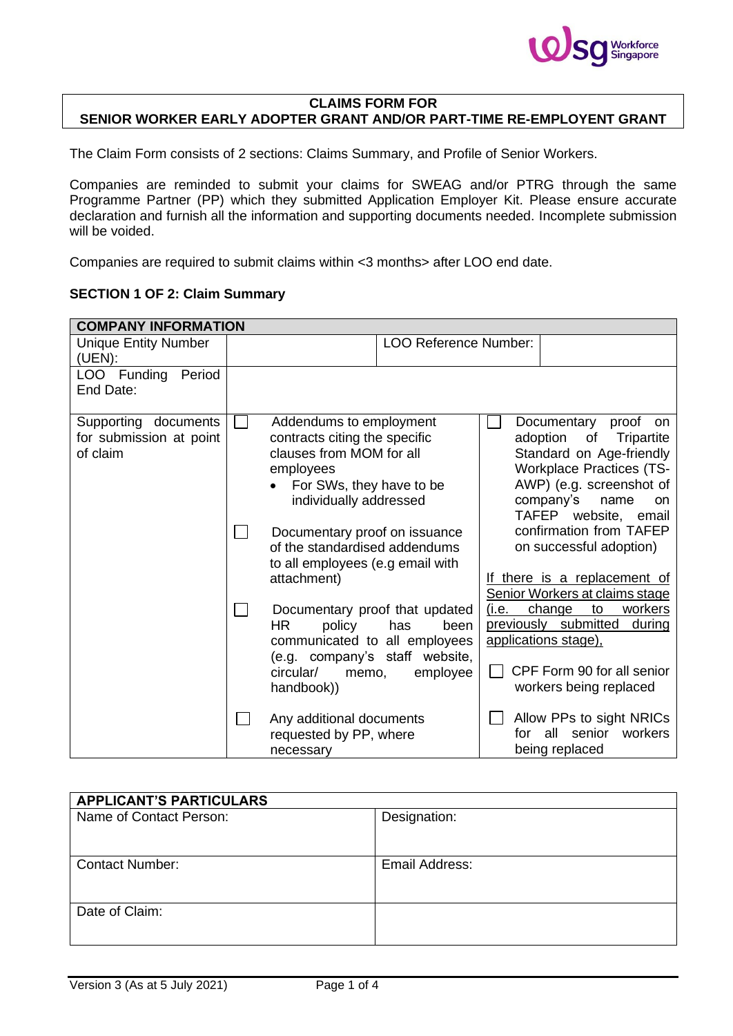

## **CLAIMS FORM FOR SENIOR WORKER EARLY ADOPTER GRANT AND/OR PART-TIME RE-EMPLOYENT GRANT**

The Claim Form consists of 2 sections: Claims Summary, and Profile of Senior Workers.

Companies are reminded to submit your claims for SWEAG and/or PTRG through the same Programme Partner (PP) which they submitted Application Employer Kit. Please ensure accurate declaration and furnish all the information and supporting documents needed. Incomplete submission will be voided.

Companies are required to submit claims within <3 months> after LOO end date.

## **SECTION 1 OF 2: Claim Summary**

| <b>COMPANY INFORMATION</b>                                  |                        |                                                                                                                                                         |                                                                                                                              |                                                                                                                                                                                                                                         |                                                                                                                                           |  |  |
|-------------------------------------------------------------|------------------------|---------------------------------------------------------------------------------------------------------------------------------------------------------|------------------------------------------------------------------------------------------------------------------------------|-----------------------------------------------------------------------------------------------------------------------------------------------------------------------------------------------------------------------------------------|-------------------------------------------------------------------------------------------------------------------------------------------|--|--|
| <b>Unique Entity Number</b><br>(UEN):                       |                        |                                                                                                                                                         | <b>LOO Reference Number:</b>                                                                                                 |                                                                                                                                                                                                                                         |                                                                                                                                           |  |  |
| LOO Funding<br>Period<br>End Date:                          |                        |                                                                                                                                                         |                                                                                                                              |                                                                                                                                                                                                                                         |                                                                                                                                           |  |  |
| Supporting documents<br>for submission at point<br>of claim |                        | Addendums to employment<br>contracts citing the specific<br>clauses from MOM for all<br>employees<br>For SWs, they have to be<br>individually addressed | Documentary proof on issuance                                                                                                | Documentary proof<br>on<br>adoption<br>of<br>Tripartite<br>Standard on Age-friendly<br><b>Workplace Practices (TS-</b><br>AWP) (e.g. screenshot of<br>company's<br>name<br><b>on</b><br>TAFEP website, email<br>confirmation from TAFEP |                                                                                                                                           |  |  |
|                                                             |                        | attachment)                                                                                                                                             | of the standardised addendums<br>to all employees (e.g email with                                                            |                                                                                                                                                                                                                                         | on successful adoption)<br>If there is a replacement of<br>Senior Workers at claims stage                                                 |  |  |
|                                                             | <b>HR</b><br>circular/ | policy<br>memo,<br>handbook))                                                                                                                           | Documentary proof that updated<br>has<br>been<br>communicated to all employees<br>(e.g. company's staff website,<br>employee | (i.e.                                                                                                                                                                                                                                   | change<br>workers<br>to<br>previously submitted<br>during<br>applications stage),<br>CPF Form 90 for all senior<br>workers being replaced |  |  |
|                                                             |                        | Any additional documents<br>requested by PP, where<br>necessary                                                                                         |                                                                                                                              | for.                                                                                                                                                                                                                                    | Allow PPs to sight NRICs<br>senior<br>workers<br>all<br>being replaced                                                                    |  |  |

| <b>APPLICANT'S PARTICULARS</b> |                |
|--------------------------------|----------------|
| Name of Contact Person:        | Designation:   |
|                                |                |
| <b>Contact Number:</b>         | Email Address: |
|                                |                |
| Date of Claim:                 |                |
|                                |                |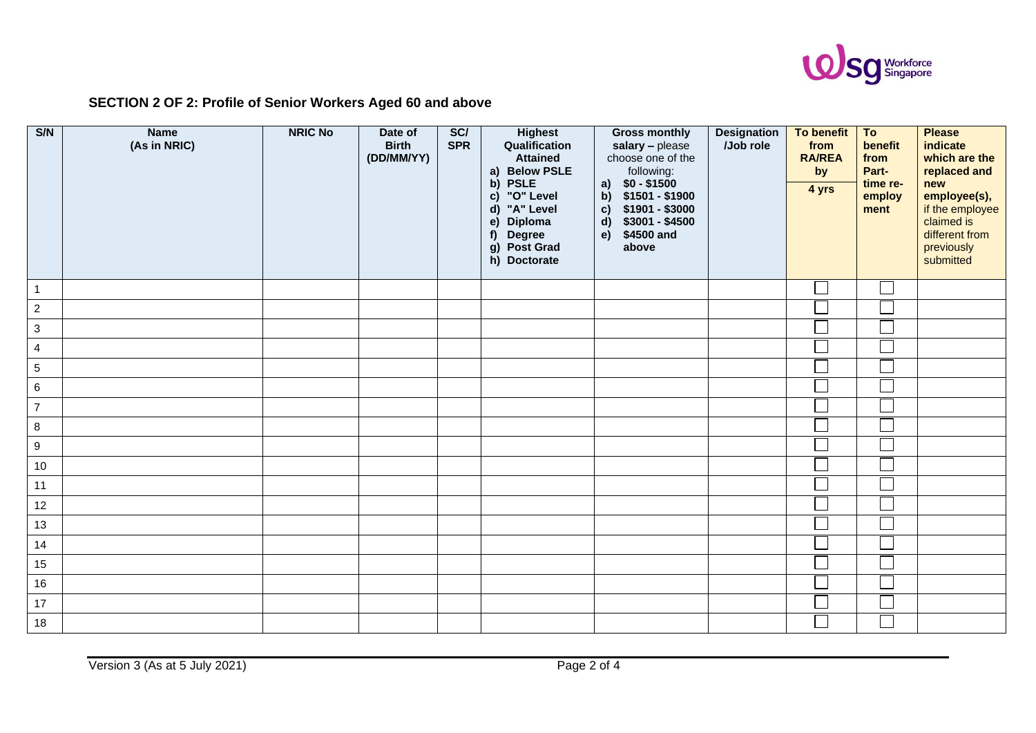

## **SECTION 2 OF 2: Profile of Senior Workers Aged 60 and above**

| S/N              | <b>Name</b><br>(As in NRIC) | <b>NRIC No</b> | Date of<br><b>Birth</b><br>(DD/MM/YY) | SC/<br><b>SPR</b> | <b>Highest</b><br>Qualification<br><b>Attained</b><br><b>Below PSLE</b><br>a)<br><b>PSLE</b><br>b)<br>"O" Level<br>$\mathbf{c}$<br>"A" Level<br>$\mathsf{d}$<br>e)<br>Diploma<br><b>Degree</b><br>f)<br>Post Grad<br>g)<br>h) Doctorate | <b>Gross monthly</b><br>salary - please<br>choose one of the<br>following:<br>$$0 - $1500$<br>a)<br>\$1501 - \$1900<br>b)<br>\$1901 - \$3000<br>$\mathbf{c}$<br>$$3001 - $4500$<br>$\mathbf{d}$<br>\$4500 and<br>e)<br>above | <b>Designation</b><br>/Job role | To benefit<br>from<br><b>RA/REA</b><br>by<br>4 yrs | To<br>benefit<br>from<br>Part-<br>time re-<br>employ<br>ment | <b>Please</b><br>indicate<br>which are the<br>replaced and<br>new<br>employee(s),<br>if the employee<br>claimed is<br>different from<br>previously<br>submitted |
|------------------|-----------------------------|----------------|---------------------------------------|-------------------|-----------------------------------------------------------------------------------------------------------------------------------------------------------------------------------------------------------------------------------------|------------------------------------------------------------------------------------------------------------------------------------------------------------------------------------------------------------------------------|---------------------------------|----------------------------------------------------|--------------------------------------------------------------|-----------------------------------------------------------------------------------------------------------------------------------------------------------------|
| $\overline{1}$   |                             |                |                                       |                   |                                                                                                                                                                                                                                         |                                                                                                                                                                                                                              |                                 |                                                    |                                                              |                                                                                                                                                                 |
| $\overline{2}$   |                             |                |                                       |                   |                                                                                                                                                                                                                                         |                                                                                                                                                                                                                              |                                 |                                                    |                                                              |                                                                                                                                                                 |
| $\mathbf{3}$     |                             |                |                                       |                   |                                                                                                                                                                                                                                         |                                                                                                                                                                                                                              |                                 |                                                    |                                                              |                                                                                                                                                                 |
| $\overline{4}$   |                             |                |                                       |                   |                                                                                                                                                                                                                                         |                                                                                                                                                                                                                              |                                 |                                                    | Γ                                                            |                                                                                                                                                                 |
| $\sqrt{5}$       |                             |                |                                       |                   |                                                                                                                                                                                                                                         |                                                                                                                                                                                                                              |                                 | $\overline{\phantom{a}}$                           | Г                                                            |                                                                                                                                                                 |
| $\,6\,$          |                             |                |                                       |                   |                                                                                                                                                                                                                                         |                                                                                                                                                                                                                              |                                 |                                                    |                                                              |                                                                                                                                                                 |
| $\overline{7}$   |                             |                |                                       |                   |                                                                                                                                                                                                                                         |                                                                                                                                                                                                                              |                                 | Ē                                                  | $\overline{a}$                                               |                                                                                                                                                                 |
| $\bf{8}$         |                             |                |                                       |                   |                                                                                                                                                                                                                                         |                                                                                                                                                                                                                              |                                 |                                                    |                                                              |                                                                                                                                                                 |
| $\boldsymbol{9}$ |                             |                |                                       |                   |                                                                                                                                                                                                                                         |                                                                                                                                                                                                                              |                                 |                                                    |                                                              |                                                                                                                                                                 |
| $10\,$           |                             |                |                                       |                   |                                                                                                                                                                                                                                         |                                                                                                                                                                                                                              |                                 |                                                    |                                                              |                                                                                                                                                                 |
| 11               |                             |                |                                       |                   |                                                                                                                                                                                                                                         |                                                                                                                                                                                                                              |                                 |                                                    |                                                              |                                                                                                                                                                 |
| 12               |                             |                |                                       |                   |                                                                                                                                                                                                                                         |                                                                                                                                                                                                                              |                                 |                                                    |                                                              |                                                                                                                                                                 |
| 13               |                             |                |                                       |                   |                                                                                                                                                                                                                                         |                                                                                                                                                                                                                              |                                 |                                                    |                                                              |                                                                                                                                                                 |
| 14               |                             |                |                                       |                   |                                                                                                                                                                                                                                         |                                                                                                                                                                                                                              |                                 | $\overline{\Box}$                                  | Г                                                            |                                                                                                                                                                 |
| 15               |                             |                |                                       |                   |                                                                                                                                                                                                                                         |                                                                                                                                                                                                                              |                                 |                                                    |                                                              |                                                                                                                                                                 |
| 16               |                             |                |                                       |                   |                                                                                                                                                                                                                                         |                                                                                                                                                                                                                              |                                 |                                                    |                                                              |                                                                                                                                                                 |
| 17               |                             |                |                                       |                   |                                                                                                                                                                                                                                         |                                                                                                                                                                                                                              |                                 |                                                    |                                                              |                                                                                                                                                                 |
| 18               |                             |                |                                       |                   |                                                                                                                                                                                                                                         |                                                                                                                                                                                                                              |                                 |                                                    | $\Box$                                                       |                                                                                                                                                                 |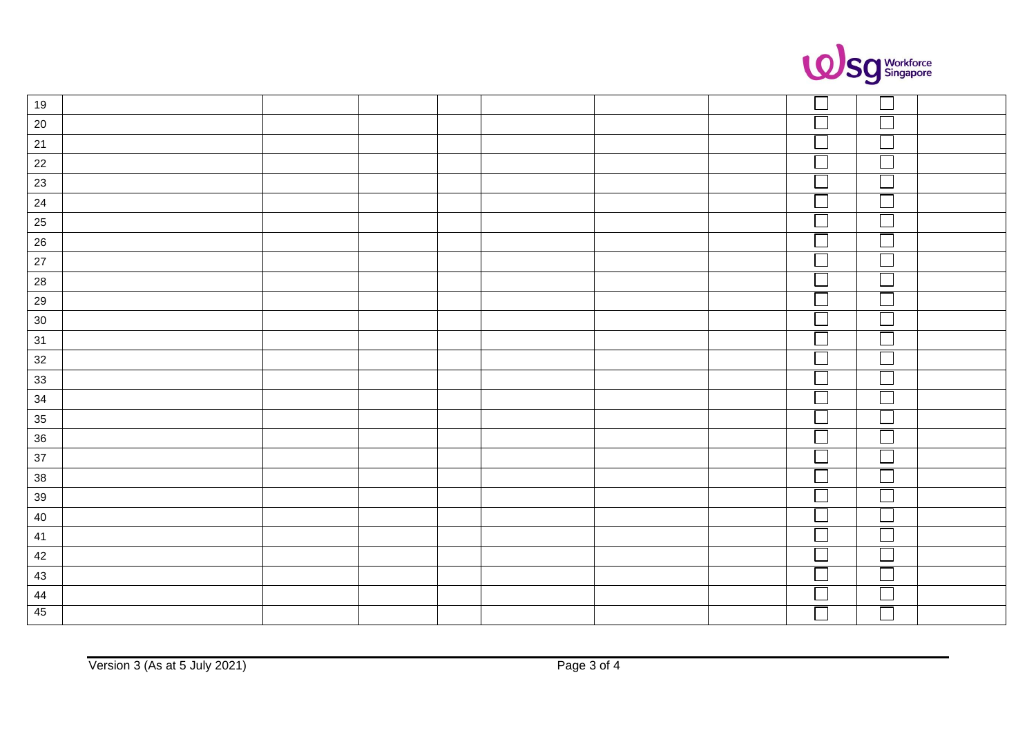

| 19                                      |  |  |  |                         |                             |  |
|-----------------------------------------|--|--|--|-------------------------|-----------------------------|--|
| $20\,$                                  |  |  |  |                         |                             |  |
| 21                                      |  |  |  |                         |                             |  |
| $22\,$                                  |  |  |  | $\Box$                  |                             |  |
| 23                                      |  |  |  |                         |                             |  |
| 24                                      |  |  |  |                         |                             |  |
| 25                                      |  |  |  |                         |                             |  |
| 26                                      |  |  |  | $\overline{\square}$    |                             |  |
| 27                                      |  |  |  |                         |                             |  |
| $28$                                    |  |  |  |                         |                             |  |
| $29\,$                                  |  |  |  |                         |                             |  |
| 30                                      |  |  |  |                         |                             |  |
| $\frac{31}{2}$                          |  |  |  |                         |                             |  |
| $32$                                    |  |  |  |                         |                             |  |
| $\frac{33}{2}$                          |  |  |  |                         |                             |  |
| 34                                      |  |  |  | $\overline{\Box}$       |                             |  |
| $\begin{array}{r} 35 \\ 36 \end{array}$ |  |  |  |                         |                             |  |
|                                         |  |  |  | $\Box$                  |                             |  |
| $37\,$                                  |  |  |  |                         |                             |  |
| 38                                      |  |  |  | $\overline{\mathbb{L}}$ | $\mathcal{L}_{\mathcal{A}}$ |  |
| 39                                      |  |  |  |                         |                             |  |
| $40\,$                                  |  |  |  | Ē                       |                             |  |
| 41                                      |  |  |  |                         |                             |  |
| 42                                      |  |  |  | $\overline{\mathbb{L}}$ |                             |  |
| 43                                      |  |  |  |                         |                             |  |
| 44                                      |  |  |  | $\Gamma$                |                             |  |
| 45                                      |  |  |  |                         |                             |  |